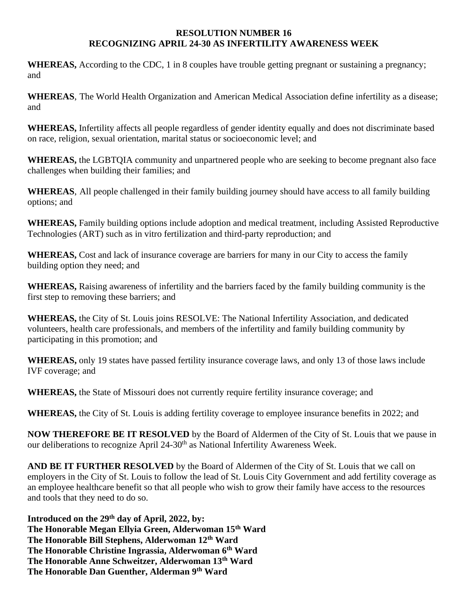## **RESOLUTION NUMBER 16 RECOGNIZING APRIL 24-30 AS INFERTILITY AWARENESS WEEK**

**WHEREAS,** According to the CDC, 1 in 8 couples have trouble getting pregnant or sustaining a pregnancy; and

**WHEREAS**, The World Health Organization and American Medical Association define infertility as a disease; and

**WHEREAS,** Infertility affects all people regardless of gender identity equally and does not discriminate based on race, religion, sexual orientation, marital status or socioeconomic level; and

**WHEREAS,** the LGBTQIA community and unpartnered people who are seeking to become pregnant also face challenges when building their families; and

**WHEREAS**, All people challenged in their family building journey should have access to all family building options; and

**WHEREAS,** Family building options include adoption and medical treatment, including Assisted Reproductive Technologies (ART) such as in vitro fertilization and third-party reproduction; and

**WHEREAS,** Cost and lack of insurance coverage are barriers for many in our City to access the family building option they need; and

**WHEREAS,** Raising awareness of infertility and the barriers faced by the family building community is the first step to removing these barriers; and

**WHEREAS,** the City of St. Louis joins RESOLVE: The National Infertility Association, and dedicated volunteers, health care professionals, and members of the infertility and family building community by participating in this promotion; and

**WHEREAS,** only 19 states have passed fertility insurance coverage laws, and only 13 of those laws include IVF coverage; and

**WHEREAS,** the State of Missouri does not currently require fertility insurance coverage; and

**WHEREAS,** the City of St. Louis is adding fertility coverage to employee insurance benefits in 2022; and

**NOW THEREFORE BE IT RESOLVED** by the Board of Aldermen of the City of St. Louis that we pause in our deliberations to recognize April 24-30<sup>th</sup> as National Infertility Awareness Week.

**AND BE IT FURTHER RESOLVED** by the Board of Aldermen of the City of St. Louis that we call on employers in the City of St. Louis to follow the lead of St. Louis City Government and add fertility coverage as an employee healthcare benefit so that all people who wish to grow their family have access to the resources and tools that they need to do so.

**Introduced on the 29th day of April, 2022, by: The Honorable Megan Ellyia Green, Alderwoman 15th Ward The Honorable Bill Stephens, Alderwoman 12th Ward The Honorable Christine Ingrassia, Alderwoman 6th Ward The Honorable Anne Schweitzer, Alderwoman 13th Ward The Honorable Dan Guenther, Alderman 9th Ward**